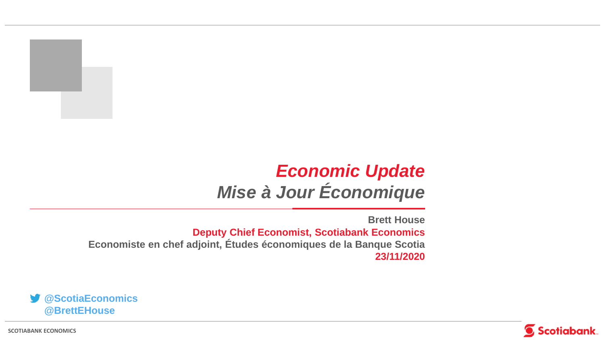## *Economic Update Mise à Jour Économique*

**Brett House Deputy Chief Economist, Scotiabank Economics Economiste en chef adjoint, Études économiques de la Banque Scotia 23/11/2020**





**SCOTIABANK ECONOMICS**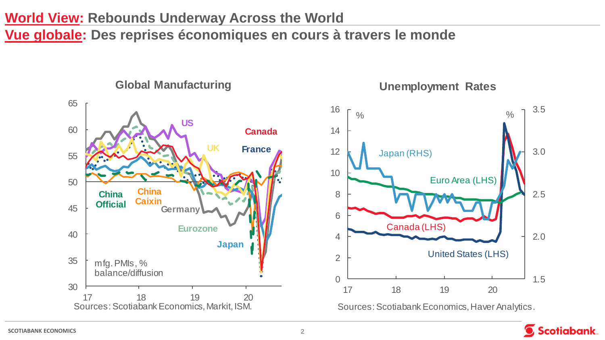#### **World View: Rebounds Underway Across the World**

**Vue globale: Des reprises économiques en cours à travers le monde**



**Unemployment Rates**

Scotiabank.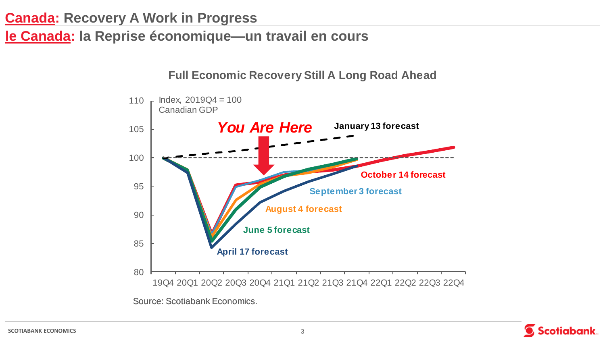## **le Canada: la Reprise économique—un travail en cours**

#### **Full Economic Recovery Still A Long Road Ahead**



Source: Scotiabank Economics.



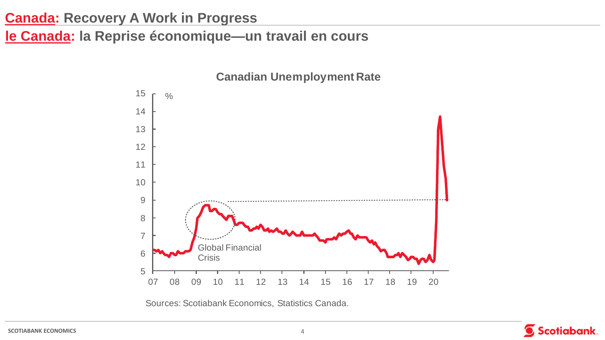**le Canada: la Reprise économique—un travail en cours**



**Canadian Unemployment Rate**

![](_page_3_Picture_5.jpeg)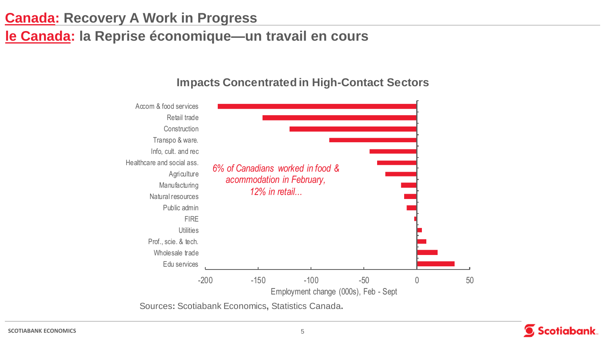## **le Canada: la Reprise économique—un travail en cours**

![](_page_4_Figure_2.jpeg)

#### **Impacts Concentrated in High-Contact Sectors**

![](_page_4_Picture_7.jpeg)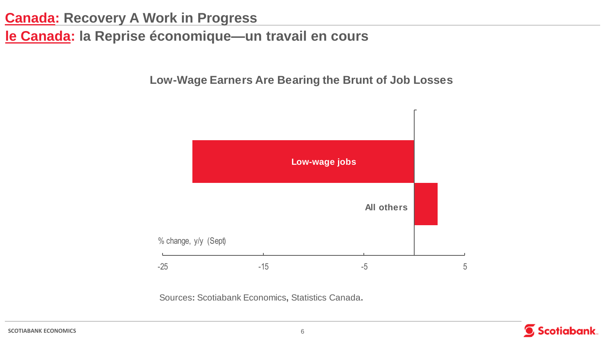## **le Canada: la Reprise économique—un travail en cours**

**Low-Wage Earners Are Bearing the Brunt of Job Losses**

![](_page_5_Figure_3.jpeg)

![](_page_5_Picture_5.jpeg)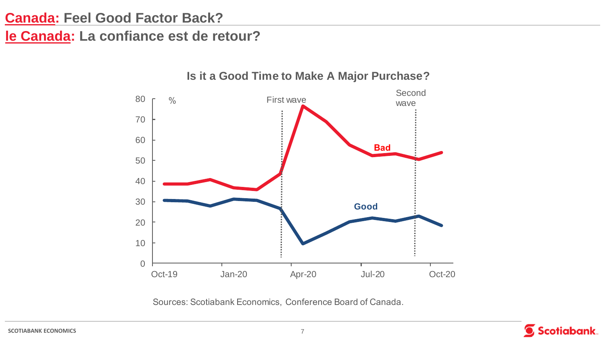#### **Canada: Feel Good Factor Back?**

**le Canada: La confiance est de retour?**

![](_page_6_Figure_2.jpeg)

#### **Is it a Good Time to Make A Major Purchase?**

Sources: Scotiabank Economics, Conference Board of Canada.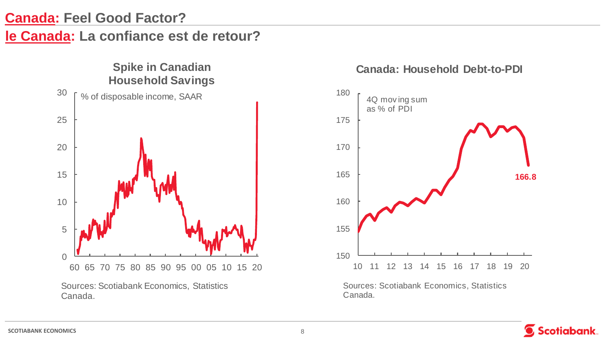#### **Canada: Feel Good Factor?**

#### **le Canada: La confiance est de retour?**

![](_page_7_Figure_2.jpeg)

![](_page_7_Figure_3.jpeg)

![](_page_7_Figure_4.jpeg)

![](_page_7_Picture_6.jpeg)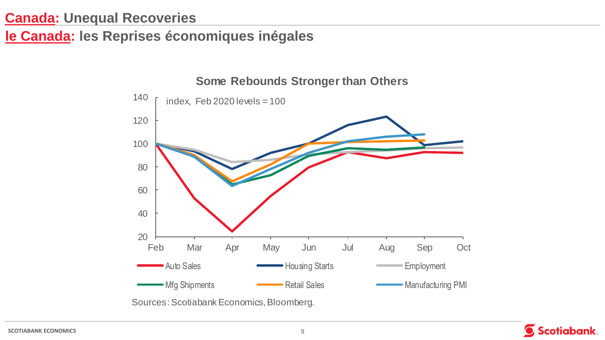**le Canada: les Reprises économiques inégales** 

![](_page_8_Figure_2.jpeg)

**Some Rebounds Stronger than Others**

![](_page_8_Picture_6.jpeg)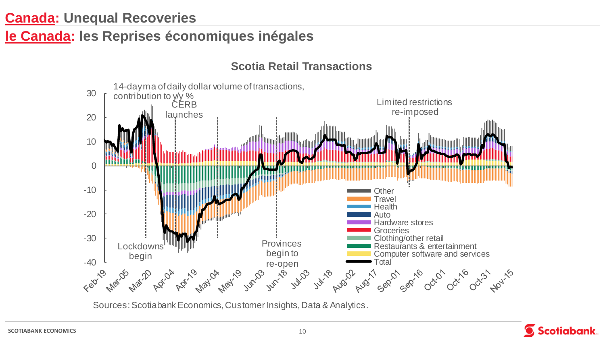#### **le Canada: les Reprises économiques inégales**

14-day ma of daily dollar volume of transactions, 30 contribution to y/y % Limited restrictions **CERB** re-imposed launches 20 10 0 -10 **Other Travel Health** -20 Auto Hardware stores **Groceries** -30 Clothing/other retail **Provinces** Lockdowns Restaurants & entertainment begin to Computer software and services begin  $68^{\circ}$ **T**otal de Mex. Inc. Inc. Inc. **Marido Phat.20** Juli-18 April Aust Aust 520 520 00:01 00:16 101/15

**Scotia Retail Transactions**

Sources: Scotiabank Economics, Customer Insights, Data & Analytics.

![](_page_9_Picture_4.jpeg)

**SCOTIABANK ECONOMICS** 10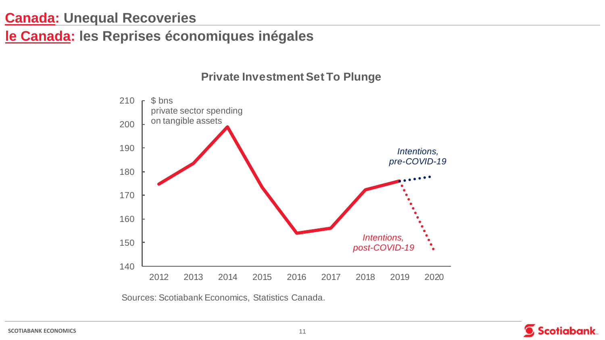**le Canada: les Reprises économiques inégales** 

![](_page_10_Figure_2.jpeg)

![](_page_10_Picture_4.jpeg)

![](_page_10_Picture_6.jpeg)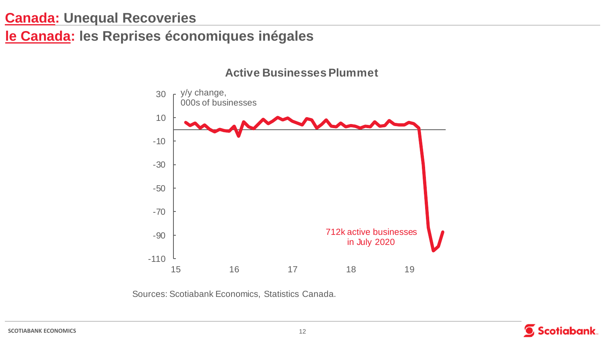**le Canada: les Reprises économiques inégales** 

**Active Businesses Plummet**

![](_page_11_Figure_3.jpeg)

![](_page_11_Picture_5.jpeg)

![](_page_11_Picture_7.jpeg)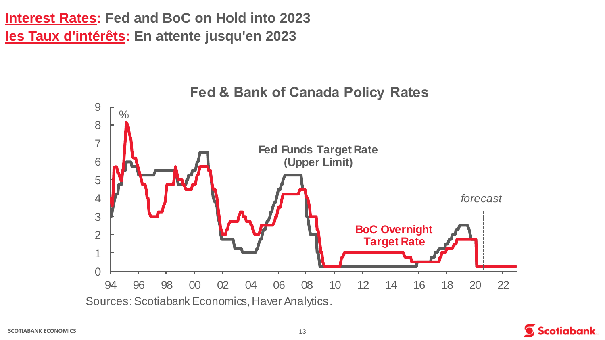**Interest Rates: Fed and BoC on Hold into 2023**

**les Taux d'intérêts: En attente jusqu'en 2023**

![](_page_12_Figure_2.jpeg)

Scotiabank.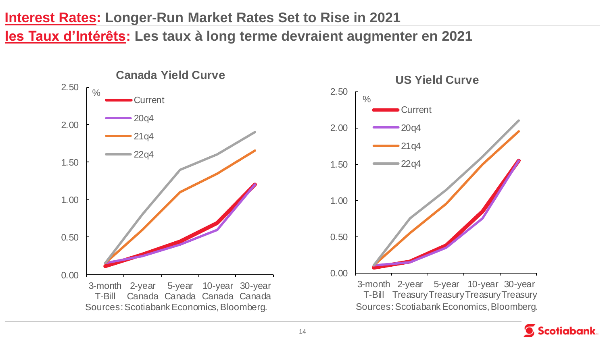#### **Interest Rates: Longer-Run Market Rates Set to Rise in 2021**

**les Taux d'Intérêts: Les taux à long terme devraient augmenter en 2021** 

![](_page_13_Figure_2.jpeg)

![](_page_13_Figure_3.jpeg)

![](_page_13_Picture_4.jpeg)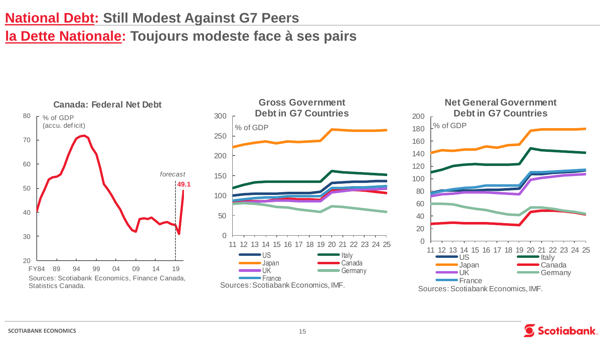#### **National Debt: Still Modest Against G7 Peers**

## **la Dette Nationale: Toujours modeste face à ses pairs**

![](_page_14_Figure_2.jpeg)

![](_page_14_Figure_3.jpeg)

![](_page_14_Figure_4.jpeg)

![](_page_14_Picture_5.jpeg)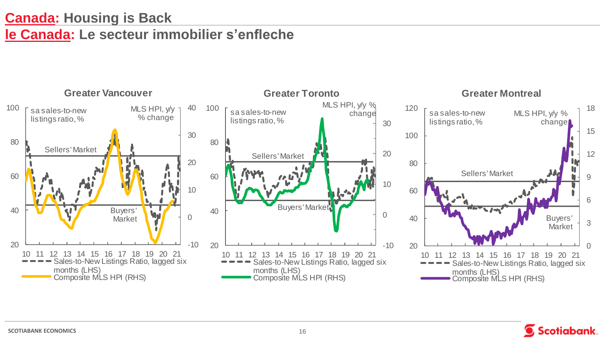## **Canada: Housing is Back le Canada: Le secteur immobilier s'enfleche**

![](_page_15_Figure_1.jpeg)

![](_page_15_Picture_2.jpeg)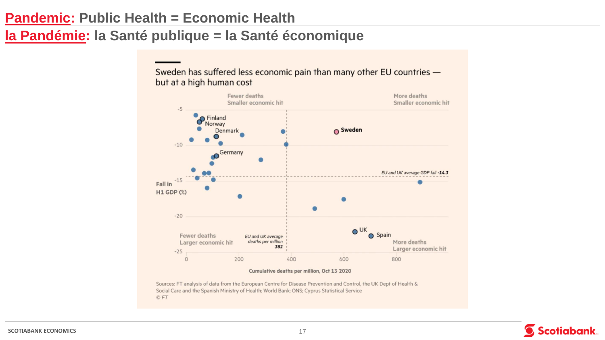#### **Pandemic: Public Health = Economic Health**

© FT

## **la Pandémie: la Santé publique = la Santé économique**

but at a high human cost Fewer deaths More deaths Smaller economic hit Smaller economic hit  $-5$ Refinland **O** Sweden Denmark  $-10$ Germany EU and UK average GDP fall -14.3  $-15$ Fall in **H1 GDP (%)**  $\bullet$  $-20$  $O$ UK **O** Spain Fewer deaths EU and UK average More deaths deaths per million Larger economic hit 382 Larger economic hit  $-25$  $\circ$ 200 400 600 800 Cumulative deaths per million, Oct 13 2020 Sources: FT analysis of data from the European Centre for Disease Prevention and Control, the UK Dept of Health & Social Care and the Spanish Ministry of Health; World Bank; ONS; Cyprus Statistical Service

Sweden has suffered less economic pain than many other EU countries -

![](_page_16_Picture_4.jpeg)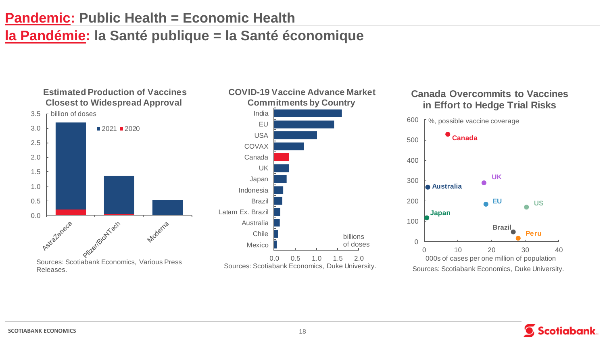#### **Pandemic: Public Health = Economic Health**

## **la Pandémie: la Santé publique = la Santé économique**

![](_page_17_Figure_2.jpeg)

# %, possible vaccine coverage

![](_page_17_Figure_4.jpeg)

![](_page_17_Picture_5.jpeg)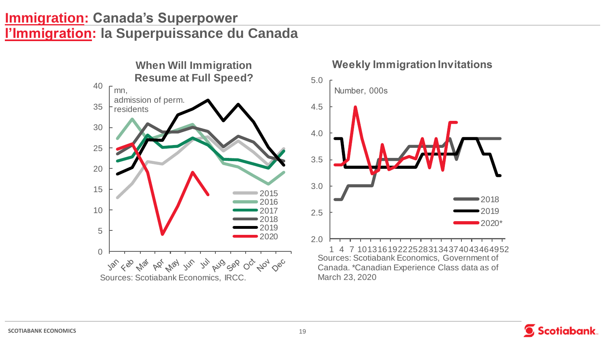#### **Immigration: Canada's Superpower l'Immigration: la Superpuissance du Canada**

![](_page_18_Figure_1.jpeg)

**Weekly Immigration Invitations** 

![](_page_18_Figure_3.jpeg)

![](_page_18_Picture_4.jpeg)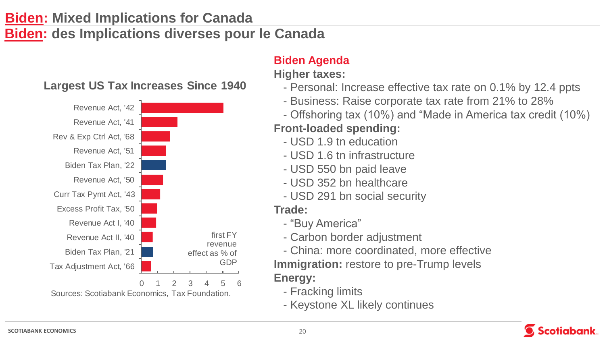## **Biden: Mixed Implications for Canada Biden: des Implications diverses pour le Canada**

![](_page_19_Figure_1.jpeg)

#### **Biden Agenda Higher taxes:**

- Personal: Increase effective tax rate on 0.1% by 12.4 ppts
- Business: Raise corporate tax rate from 21% to 28%
- Offshoring tax (10%) and "Made in America tax credit (10%)

#### **Front-loaded spending:**

- USD 1.9 tn education
- USD 1.6 tn infrastructure
- USD 550 bn paid leave
- USD 352 bn healthcare
- USD 291 bn social security

#### **Trade:**

- "Buy America"
- Carbon border adjustment
- China: more coordinated, more effective **Immigration:** restore to pre-Trump levels **Energy:** 
	- Fracking limits
	- Keystone XL likely continues

![](_page_19_Picture_20.jpeg)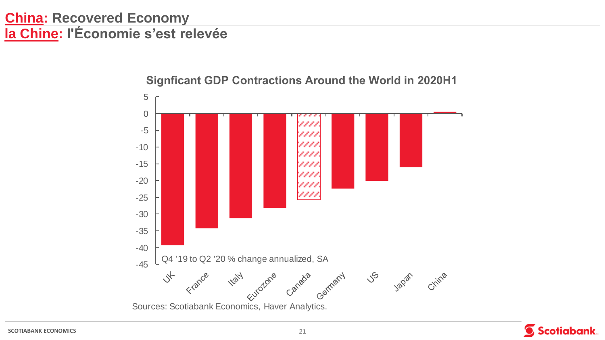## **China: Recovered Economy la Chine: l'Économie s'est relevée**

![](_page_20_Figure_1.jpeg)

#### **Signficant GDP Contractions Around the World in 2020H1**

![](_page_20_Picture_3.jpeg)

![](_page_20_Picture_5.jpeg)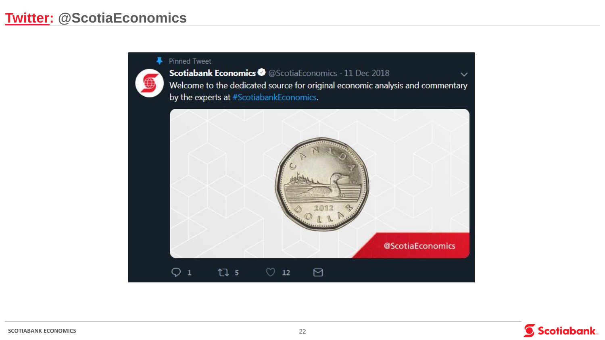#### **-** Pinned Tweet

Scotiabank Economics @ @ScotiaEconomics · 11 Dec 2018  $\checkmark$ Welcome to the dedicated source for original economic analysis and commentary by the experts at #ScotiabankEconomics.

![](_page_21_Picture_3.jpeg)

![](_page_21_Picture_4.jpeg)